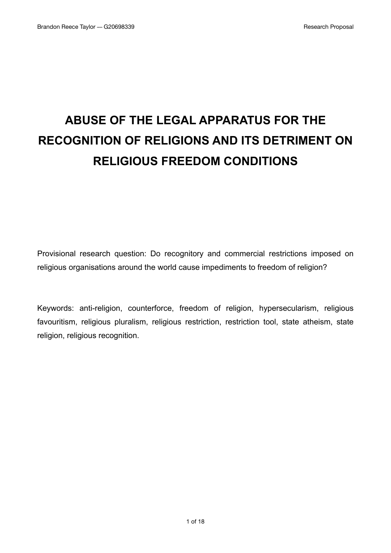# **ABUSE OF THE LEGAL APPARATUS FOR THE RECOGNITION OF RELIGIONS AND ITS DETRIMENT ON RELIGIOUS FREEDOM CONDITIONS**

Provisional research question: Do recognitory and commercial restrictions imposed on religious organisations around the world cause impediments to freedom of religion?

Keywords: anti-religion, counterforce, freedom of religion, hypersecularism, religious favouritism, religious pluralism, religious restriction, restriction tool, state atheism, state religion, religious recognition.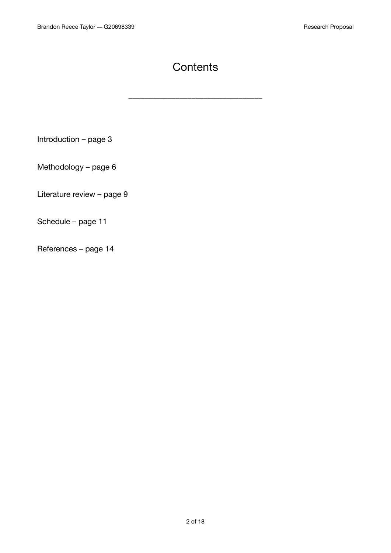# **Contents**

––––––––––––––––––––––––––––––––––

Introduction – page 3

Methodology – page 6

Literature review – page 9

Schedule – page 11

References – page 14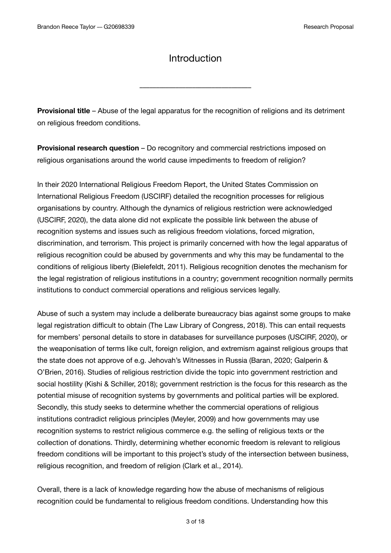### Introduction

––––––––––––––––––––––––––––––––––

**Provisional title** – Abuse of the legal apparatus for the recognition of religions and its detriment on religious freedom conditions.

**Provisional research question** – Do recognitory and commercial restrictions imposed on religious organisations around the world cause impediments to freedom of religion?

In their 2020 International Religious Freedom Report, the United States Commission on International Religious Freedom (USCIRF) detailed the recognition processes for religious organisations by country. Although the dynamics of religious restriction were acknowledged (USCIRF, 2020), the data alone did not explicate the possible link between the abuse of recognition systems and issues such as religious freedom violations, forced migration, discrimination, and terrorism. This project is primarily concerned with how the legal apparatus of religious recognition could be abused by governments and why this may be fundamental to the conditions of religious liberty (Bielefeldt, 2011). Religious recognition denotes the mechanism for the legal registration of religious institutions in a country; government recognition normally permits institutions to conduct commercial operations and religious services legally.

Abuse of such a system may include a deliberate bureaucracy bias against some groups to make legal registration difficult to obtain (The Law Library of Congress, 2018). This can entail requests for members' personal details to store in databases for surveillance purposes (USCIRF, 2020), or the weaponisation of terms like cult, foreign religion, and extremism against religious groups that the state does not approve of e.g. Jehovah's Witnesses in Russia (Baran, 2020; Galperin & O'Brien, 2016). Studies of religious restriction divide the topic into government restriction and social hostility (Kishi & Schiller, 2018); government restriction is the focus for this research as the potential misuse of recognition systems by governments and political parties will be explored. Secondly, this study seeks to determine whether the commercial operations of religious institutions contradict religious principles (Meyler, 2009) and how governments may use recognition systems to restrict religious commerce e.g. the selling of religious texts or the collection of donations. Thirdly, determining whether economic freedom is relevant to religious freedom conditions will be important to this project's study of the intersection between business, religious recognition, and freedom of religion (Clark et al., 2014).

Overall, there is a lack of knowledge regarding how the abuse of mechanisms of religious recognition could be fundamental to religious freedom conditions. Understanding how this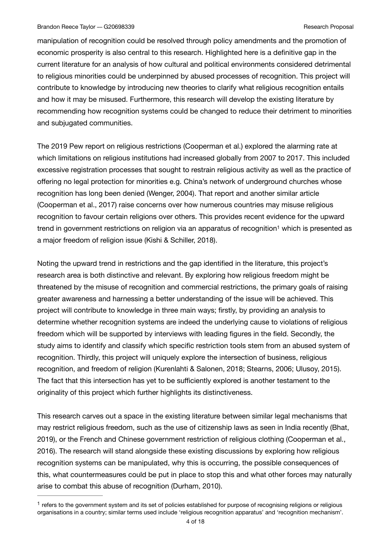manipulation of recognition could be resolved through policy amendments and the promotion of economic prosperity is also central to this research. Highlighted here is a definitive gap in the current literature for an analysis of how cultural and political environments considered detrimental to religious minorities could be underpinned by abused processes of recognition. This project will contribute to knowledge by introducing new theories to clarify what religious recognition entails and how it may be misused. Furthermore, this research will develop the existing literature by recommending how recognition systems could be changed to reduce their detriment to minorities and subjugated communities.

The 2019 Pew report on religious restrictions (Cooperman et al.) explored the alarming rate at which limitations on religious institutions had increased globally from 2007 to 2017. This included excessive registration processes that sought to restrain religious activity as well as the practice of offering no legal protection for minorities e.g. China's network of underground churches whose recognition has long been denied (Wenger, 2004). That report and another similar article (Cooperman et al., 2017) raise concerns over how numerous countries may misuse religious recognition to favour certain religions over others. This provides recent evidence for the upward tre[n](#page-3-0)d in government restrictions on religion via an apparatus of recognition<sup>[1](#page-3-0)</sup> which is presented as a major freedom of religion issue (Kishi & Schiller, 2018).

<span id="page-3-1"></span>Noting the upward trend in restrictions and the gap identified in the literature, this project's research area is both distinctive and relevant. By exploring how religious freedom might be threatened by the misuse of recognition and commercial restrictions, the primary goals of raising greater awareness and harnessing a better understanding of the issue will be achieved. This project will contribute to knowledge in three main ways; firstly, by providing an analysis to determine whether recognition systems are indeed the underlying cause to violations of religious freedom which will be supported by interviews with leading figures in the field. Secondly, the study aims to identify and classify which specific restriction tools stem from an abused system of recognition. Thirdly, this project will uniquely explore the intersection of business, religious recognition, and freedom of religion (Kurenlahti & Salonen, 2018; Stearns, 2006; Ulusoy, 2015). The fact that this intersection has yet to be sufficiently explored is another testament to the originality of this project which further highlights its distinctiveness.

This research carves out a space in the existing literature between similar legal mechanisms that may restrict religious freedom, such as the use of citizenship laws as seen in India recently (Bhat, 2019), or the French and Chinese government restriction of religious clothing (Cooperman et al., 2016). The research will stand alongside these existing discussions by exploring how religious recognition systems can be manipulated, why this is occurring, the possible consequences of this, what countermeasures could be put in place to stop this and what other forces may naturally arise to combat this abuse of recognition (Durham, 2010).

<span id="page-3-0"></span> $<sup>1</sup>$  $<sup>1</sup>$  $<sup>1</sup>$  refers to the government system and its set of policies established for purpose of recognising religions or religious</sup> organisations in a country; similar terms used include 'religious recognition apparatus' and 'recognition mechanism'.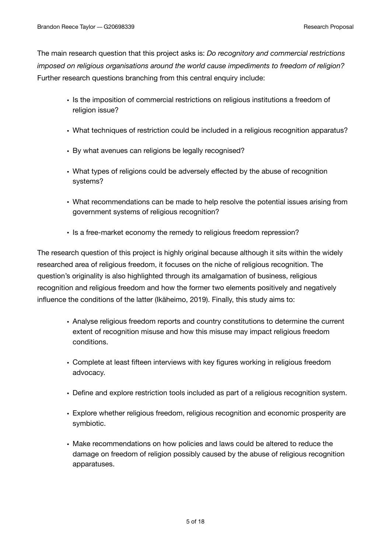The main research question that this project asks is: *Do recognitory and commercial restrictions imposed on religious organisations around the world cause impediments to freedom of religion?*  Further research questions branching from this central enquiry include:

- Is the imposition of commercial restrictions on religious institutions a freedom of religion issue?
- What techniques of restriction could be included in a religious recognition apparatus?
- By what avenues can religions be legally recognised?
- What types of religions could be adversely effected by the abuse of recognition systems?
- What recommendations can be made to help resolve the potential issues arising from government systems of religious recognition?
- Is a free-market economy the remedy to religious freedom repression?

The research question of this project is highly original because although it sits within the widely researched area of religious freedom, it focuses on the niche of religious recognition. The question's originality is also highlighted through its amalgamation of business, religious recognition and religious freedom and how the former two elements positively and negatively influence the conditions of the latter (Ikäheimo, 2019). Finally, this study aims to:

- Analyse religious freedom reports and country constitutions to determine the current extent of recognition misuse and how this misuse may impact religious freedom conditions.
- Complete at least fifteen interviews with key figures working in religious freedom advocacy.
- Define and explore restriction tools included as part of a religious recognition system.
- Explore whether religious freedom, religious recognition and economic prosperity are symbiotic.
- Make recommendations on how policies and laws could be altered to reduce the damage on freedom of religion possibly caused by the abuse of religious recognition apparatuses.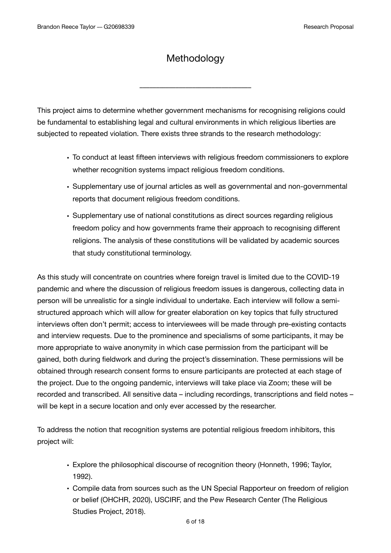## **Methodology**

––––––––––––––––––––––––––––––––––

This project aims to determine whether government mechanisms for recognising religions could be fundamental to establishing legal and cultural environments in which religious liberties are subjected to repeated violation. There exists three strands to the research methodology:

- To conduct at least fifteen interviews with religious freedom commissioners to explore whether recognition systems impact religious freedom conditions.
- Supplementary use of journal articles as well as governmental and non-governmental reports that document religious freedom conditions.
- Supplementary use of national constitutions as direct sources regarding religious freedom policy and how governments frame their approach to recognising different religions. The analysis of these constitutions will be validated by academic sources that study constitutional terminology.

As this study will concentrate on countries where foreign travel is limited due to the COVID-19 pandemic and where the discussion of religious freedom issues is dangerous, collecting data in person will be unrealistic for a single individual to undertake. Each interview will follow a semistructured approach which will allow for greater elaboration on key topics that fully structured interviews often don't permit; access to interviewees will be made through pre-existing contacts and interview requests. Due to the prominence and specialisms of some participants, it may be more appropriate to waive anonymity in which case permission from the participant will be gained, both during fieldwork and during the project's dissemination. These permissions will be obtained through research consent forms to ensure participants are protected at each stage of the project. Due to the ongoing pandemic, interviews will take place via Zoom; these will be recorded and transcribed. All sensitive data – including recordings, transcriptions and field notes – will be kept in a secure location and only ever accessed by the researcher.

To address the notion that recognition systems are potential religious freedom inhibitors, this project will:

- Explore the philosophical discourse of recognition theory (Honneth, 1996; Taylor, 1992).
- Compile data from sources such as the UN Special Rapporteur on freedom of religion or belief (OHCHR, 2020), USCIRF, and the Pew Research Center (The Religious Studies Project, 2018).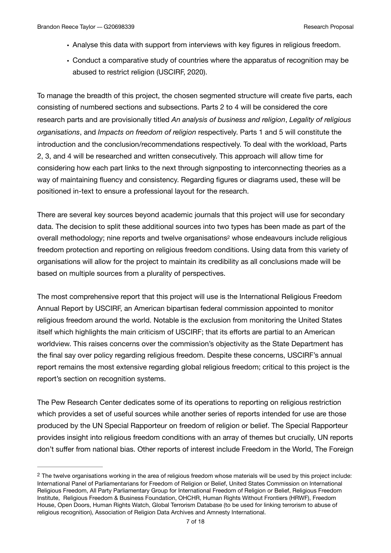- Analyse this data with support from interviews with key figures in religious freedom.
- Conduct a comparative study of countries where the apparatus of recognition may be abused to restrict religion (USCIRF, 2020).

To manage the breadth of this project, the chosen segmented structure will create five parts, each consisting of numbered sections and subsections. Parts 2 to 4 will be considered the core research parts and are provisionally titled *An analysis of business and religion*, *Legality of religious organisations*, and *Impacts on freedom of religion* respectively. Parts 1 and 5 will constitute the introduction and the conclusion/recommendations respectively. To deal with the workload, Parts 2, 3, and 4 will be researched and written consecutively. This approach will allow time for considering how each part links to the next through signposting to interconnecting theories as a way of maintaining fluency and consistency. Regarding figures or diagrams used, these will be positioned in-text to ensure a professional layout for the research.

<span id="page-6-1"></span>There are several key sources beyond academic journals that this project will use for secondary data. The decision to split these additional sources into two types has been made as part of the overall methodology; nine report[s](#page-6-0) and twelve organisations<sup>[2](#page-6-0)</sup> whose endeavours include religious freedom protection and reporting on religious freedom conditions. Using data from this variety of organisations will allow for the project to maintain its credibility as all conclusions made will be based on multiple sources from a plurality of perspectives.

The most comprehensive report that this project will use is the International Religious Freedom Annual Report by USCIRF, an American bipartisan federal commission appointed to monitor religious freedom around the world. Notable is the exclusion from monitoring the United States itself which highlights the main criticism of USCIRF; that its efforts are partial to an American worldview. This raises concerns over the commission's objectivity as the State Department has the final say over policy regarding religious freedom. Despite these concerns, USCIRF's annual report remains the most extensive regarding global religious freedom; critical to this project is the report's section on recognition systems.

The Pew Research Center dedicates some of its operations to reporting on religious restriction which provides a set of useful sources while another series of reports intended for use are those produced by the UN Special Rapporteur on freedom of religion or belief. The Special Rapporteur provides insight into religious freedom conditions with an array of themes but crucially, UN reports don't suffer from national bias. Other reports of interest include Freedom in the World, The Foreign

<span id="page-6-0"></span> $2$  The twelve organisations working in the area of religious freedom whose materials will be used by this project include: International Panel of Parliamentarians for Freedom of Religion or Belief, United States Commission on International Religious Freedom, All Party Parliamentary Group for International Freedom of Religion or Belief, Religious Freedom Institute, Religious Freedom & Business Foundation, OHCHR, Human Rights Without Frontiers (HRWF), Freedom House, Open Doors, Human Rights Watch, Global Terrorism Database (to be used for linking terrorism to abuse of religious recognition), Association of Religion Data Archives and Amnesty International.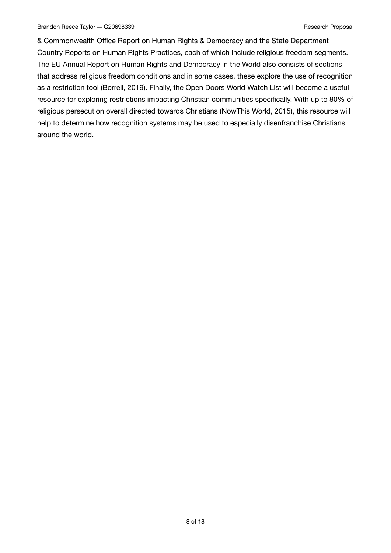& Commonwealth Office Report on Human Rights & Democracy and the State Department Country Reports on Human Rights Practices, each of which include religious freedom segments. The EU Annual Report on Human Rights and Democracy in the World also consists of sections that address religious freedom conditions and in some cases, these explore the use of recognition as a restriction tool (Borrell, 2019). Finally, the Open Doors World Watch List will become a useful resource for exploring restrictions impacting Christian communities specifically. With up to 80% of religious persecution overall directed towards Christians (NowThis World, 2015), this resource will help to determine how recognition systems may be used to especially disenfranchise Christians around the world.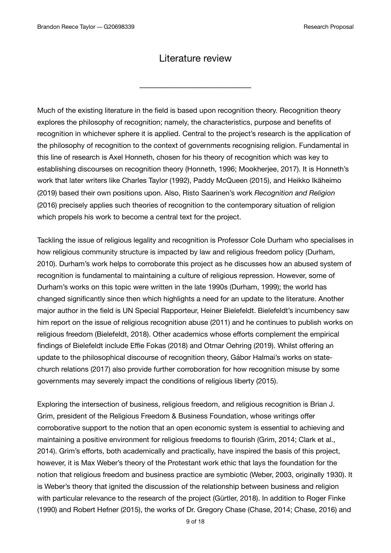#### Literature review

––––––––––––––––––––––––––––––––––

Much of the existing literature in the field is based upon recognition theory. Recognition theory explores the philosophy of recognition; namely, the characteristics, purpose and benefits of recognition in whichever sphere it is applied. Central to the project's research is the application of the philosophy of recognition to the context of governments recognising religion. Fundamental in this line of research is Axel Honneth, chosen for his theory of recognition which was key to establishing discourses on recognition theory (Honneth, 1996; Mookherjee, 2017). It is Honneth's work that later writers like Charles Taylor (1992), Paddy McQueen (2015), and Heikko Ikäheimo (2019) based their own positions upon. Also, Risto Saarinen's work *Recognition and Religion* (2016) precisely applies such theories of recognition to the contemporary situation of religion which propels his work to become a central text for the project.

Tackling the issue of religious legality and recognition is Professor Cole Durham who specialises in how religious community structure is impacted by law and religious freedom policy (Durham, 2010). Durham's work helps to corroborate this project as he discusses how an abused system of recognition is fundamental to maintaining a culture of religious repression. However, some of Durham's works on this topic were written in the late 1990s (Durham, 1999); the world has changed significantly since then which highlights a need for an update to the literature. Another major author in the field is UN Special Rapporteur, Heiner Bielefeldt. Bielefeldt's incumbency saw him report on the issue of religious recognition abuse (2011) and he continues to publish works on religious freedom (Bielefeldt, 2018). Other academics whose efforts complement the empirical findings of Bielefeldt include Effie Fokas (2018) and Otmar Oehring (2019). Whilst offering an update to the philosophical discourse of recognition theory, Gábor Halmai's works on statechurch relations (2017) also provide further corroboration for how recognition misuse by some governments may severely impact the conditions of religious liberty (2015).

Exploring the intersection of business, religious freedom, and religious recognition is Brian J. Grim, president of the Religious Freedom & Business Foundation, whose writings offer corroborative support to the notion that an open economic system is essential to achieving and maintaining a positive environment for religious freedoms to flourish (Grim, 2014; Clark et al., 2014). Grim's efforts, both academically and practically, have inspired the basis of this project, however, it is Max Weber's theory of the Protestant work ethic that lays the foundation for the notion that religious freedom and business practice are symbiotic (Weber, 2003, originally 1930). It is Weber's theory that ignited the discussion of the relationship between business and religion with particular relevance to the research of the project (Gürtler, 2018). In addition to Roger Finke (1990) and Robert Hefner (2015), the works of Dr. Gregory Chase (Chase, 2014; Chase, 2016) and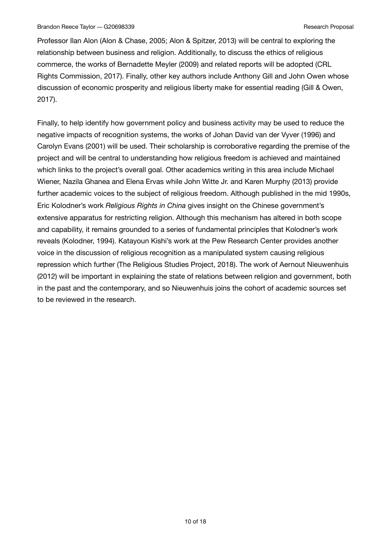Professor Ilan Alon (Alon & Chase, 2005; Alon & Spitzer, 2013) will be central to exploring the relationship between business and religion. Additionally, to discuss the ethics of religious commerce, the works of Bernadette Meyler (2009) and related reports will be adopted (CRL Rights Commission, 2017). Finally, other key authors include Anthony Gill and John Owen whose discussion of economic prosperity and religious liberty make for essential reading (Gill & Owen, 2017).

Finally, to help identify how government policy and business activity may be used to reduce the negative impacts of recognition systems, the works of Johan David van der Vyver (1996) and Carolyn Evans (2001) will be used. Their scholarship is corroborative regarding the premise of the project and will be central to understanding how religious freedom is achieved and maintained which links to the project's overall goal. Other academics writing in this area include Michael Wiener, Nazila Ghanea and Elena Ervas while John Witte Jr. and Karen Murphy (2013) provide further academic voices to the subject of religious freedom. Although published in the mid 1990s, Eric Kolodner's work *Religious Rights in China* gives insight on the Chinese government's extensive apparatus for restricting religion. Although this mechanism has altered in both scope and capability, it remains grounded to a series of fundamental principles that Kolodner's work reveals (Kolodner, 1994). Katayoun Kishi's work at the Pew Research Center provides another voice in the discussion of religious recognition as a manipulated system causing religious repression which further (The Religious Studies Project, 2018). The work of Aernout Nieuwenhuis (2012) will be important in explaining the state of relations between religion and government, both in the past and the contemporary, and so Nieuwenhuis joins the cohort of academic sources set to be reviewed in the research.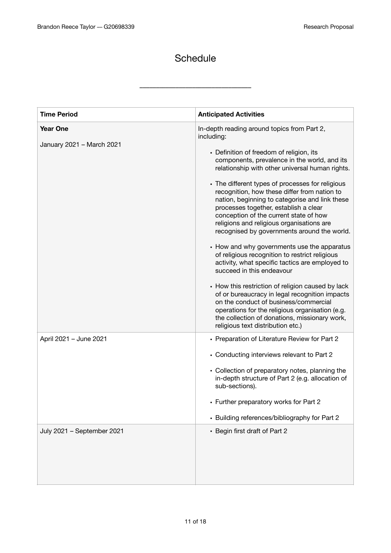## **Schedule**

––––––––––––––––––––––––––––––––––

| <b>Time Period</b>                           | <b>Anticipated Activities</b>                                                                                                                                                                                                                                                                                                                                                                                                                                                                                                                                                                                                                                                                                                                                                                                                                                                                                                                                                                                           |
|----------------------------------------------|-------------------------------------------------------------------------------------------------------------------------------------------------------------------------------------------------------------------------------------------------------------------------------------------------------------------------------------------------------------------------------------------------------------------------------------------------------------------------------------------------------------------------------------------------------------------------------------------------------------------------------------------------------------------------------------------------------------------------------------------------------------------------------------------------------------------------------------------------------------------------------------------------------------------------------------------------------------------------------------------------------------------------|
| <b>Year One</b><br>January 2021 - March 2021 | In-depth reading around topics from Part 2,<br>including:<br>• Definition of freedom of religion, its<br>components, prevalence in the world, and its<br>relationship with other universal human rights.<br>• The different types of processes for religious<br>recognition, how these differ from nation to<br>nation, beginning to categorise and link these<br>processes together, establish a clear<br>conception of the current state of how<br>religions and religious organisations are<br>recognised by governments around the world.<br>• How and why governments use the apparatus<br>of religious recognition to restrict religious<br>activity, what specific tactics are employed to<br>succeed in this endeavour<br>• How this restriction of religion caused by lack<br>of or bureaucracy in legal recognition impacts<br>on the conduct of business/commercial<br>operations for the religious organisation (e.g.<br>the collection of donations, missionary work,<br>religious text distribution etc.) |
| April 2021 - June 2021                       | • Preparation of Literature Review for Part 2<br>• Conducting interviews relevant to Part 2<br>• Collection of preparatory notes, planning the<br>in-depth structure of Part 2 (e.g. allocation of<br>sub-sections).<br>• Further preparatory works for Part 2<br>• Building references/bibliography for Part 2                                                                                                                                                                                                                                                                                                                                                                                                                                                                                                                                                                                                                                                                                                         |
| July 2021 - September 2021                   | • Begin first draft of Part 2                                                                                                                                                                                                                                                                                                                                                                                                                                                                                                                                                                                                                                                                                                                                                                                                                                                                                                                                                                                           |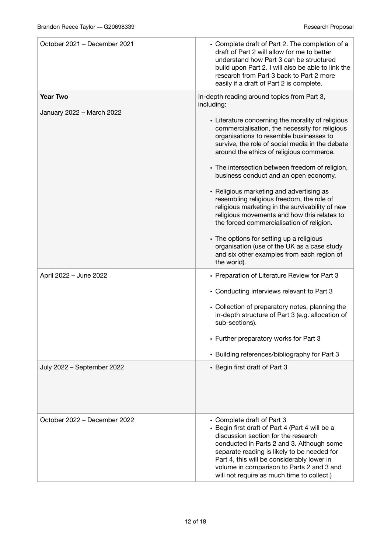| October 2021 - December 2021                 | • Complete draft of Part 2. The completion of a<br>draft of Part 2 will allow for me to better<br>understand how Part 3 can be structured<br>build upon Part 2. I will also be able to link the<br>research from Part 3 back to Part 2 more<br>easily if a draft of Part 2 is complete.                                                                                                                                                                                                                                                                                                                                                                                                                                                                                                                |
|----------------------------------------------|--------------------------------------------------------------------------------------------------------------------------------------------------------------------------------------------------------------------------------------------------------------------------------------------------------------------------------------------------------------------------------------------------------------------------------------------------------------------------------------------------------------------------------------------------------------------------------------------------------------------------------------------------------------------------------------------------------------------------------------------------------------------------------------------------------|
| <b>Year Two</b><br>January 2022 - March 2022 | In-depth reading around topics from Part 3,<br>including:<br>• Literature concerning the morality of religious<br>commercialisation, the necessity for religious<br>organisations to resemble businesses to<br>survive, the role of social media in the debate<br>around the ethics of religious commerce.<br>• The intersection between freedom of religion,<br>business conduct and an open economy.<br>• Religious marketing and advertising as<br>resembling religious freedom, the role of<br>religious marketing in the survivability of new<br>religious movements and how this relates to<br>the forced commercialisation of religion.<br>• The options for setting up a religious<br>organisation (use of the UK as a case study<br>and six other examples from each region of<br>the world). |
| April 2022 - June 2022                       | • Preparation of Literature Review for Part 3<br>• Conducting interviews relevant to Part 3<br>• Collection of preparatory notes, planning the<br>in-depth structure of Part 3 (e.g. allocation of<br>sub-sections).<br>• Further preparatory works for Part 3<br>• Building references/bibliography for Part 3                                                                                                                                                                                                                                                                                                                                                                                                                                                                                        |
| July 2022 - September 2022                   | • Begin first draft of Part 3                                                                                                                                                                                                                                                                                                                                                                                                                                                                                                                                                                                                                                                                                                                                                                          |
| October 2022 – December 2022                 | • Complete draft of Part 3<br>• Begin first draft of Part 4 (Part 4 will be a<br>discussion section for the research<br>conducted in Parts 2 and 3. Although some<br>separate reading is likely to be needed for<br>Part 4, this will be considerably lower in<br>volume in comparison to Parts 2 and 3 and<br>will not require as much time to collect.)                                                                                                                                                                                                                                                                                                                                                                                                                                              |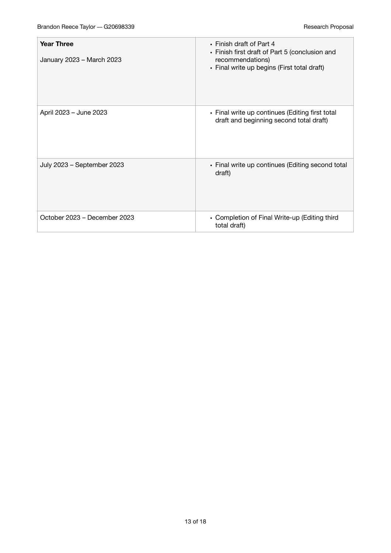| <b>Year Three</b><br>January 2023 - March 2023 | • Finish draft of Part 4<br>• Finish first draft of Part 5 (conclusion and<br>recommendations)<br>• Final write up begins (First total draft) |
|------------------------------------------------|-----------------------------------------------------------------------------------------------------------------------------------------------|
| April 2023 - June 2023                         | • Final write up continues (Editing first total<br>draft and beginning second total draft)                                                    |
| July 2023 - September 2023                     | • Final write up continues (Editing second total<br>draft)                                                                                    |
| October 2023 – December 2023                   | • Completion of Final Write-up (Editing third<br>total draft)                                                                                 |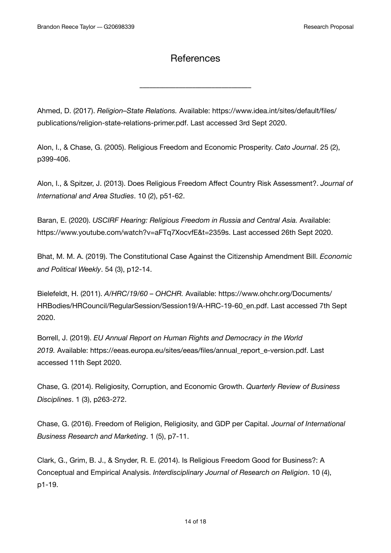## **References**

––––––––––––––––––––––––––––––––––

Ahmed, D. (2017). *Religion–State Relations.* Available: https://www.idea.int/sites/default/files/ publications/religion-state-relations-primer.pdf. Last accessed 3rd Sept 2020.

Alon, I., & Chase, G. (2005). Religious Freedom and Economic Prosperity. *Cato Journal*. 25 (2), p399-406.

Alon, I., & Spitzer, J. (2013). Does Religious Freedom Affect Country Risk Assessment?. *Journal of International and Area Studies*. 10 (2), p51-62.

Baran, E. (2020). *USCIRF Hearing: Religious Freedom in Russia and Central Asia.* Available: https://www.youtube.com/watch?v=aFTq7XocvfE&t=2359s. Last accessed 26th Sept 2020.

Bhat, M. M. A. (2019). The Constitutional Case Against the Citizenship Amendment Bill. *Economic and Political Weekly*. 54 (3), p12-14.

Bielefeldt, H. (2011). *A/HRC/19/60 – OHCHR.* Available: https://www.ohchr.org/Documents/ HRBodies/HRCouncil/RegularSession/Session19/A-HRC-19-60\_en.pdf. Last accessed 7th Sept 2020.

Borrell, J. (2019). *EU Annual Report on Human Rights and Democracy in the World 2019.* Available: https://eeas.europa.eu/sites/eeas/files/annual\_report\_e-version.pdf. Last accessed 11th Sept 2020.

Chase, G. (2014). Religiosity, Corruption, and Economic Growth. *Quarterly Review of Business Disciplines*. 1 (3), p263-272.

Chase, G. (2016). Freedom of Religion, Religiosity, and GDP per Capital. *Journal of International Business Research and Marketing*. 1 (5), p7-11.

Clark, G., Grim, B. J., & Snyder, R. E. (2014). Is Religious Freedom Good for Business?: A Conceptual and Empirical Analysis. *Interdisciplinary Journal of Research on Religion*. 10 (4), p1-19.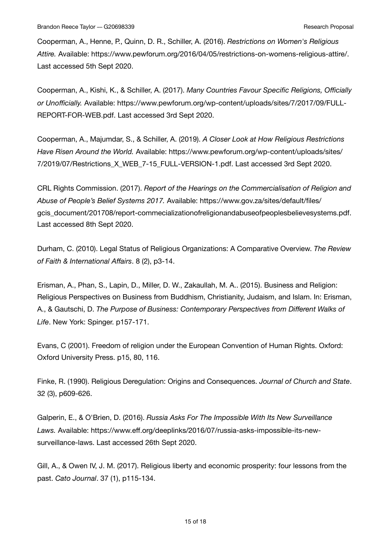Cooperman, A., Henne, P., Quinn, D. R., Schiller, A. (2016). *Restrictions on Women's Religious Attire.* Available: https://www.pewforum.org/2016/04/05/restrictions-on-womens-religious-attire/. Last accessed 5th Sept 2020.

Cooperman, A., Kishi, K., & Schiller, A. (2017). *Many Countries Favour Specific Religions, Officially or Unofficially.* Available: https://www.pewforum.org/wp-content/uploads/sites/7/2017/09/FULL-REPORT-FOR-WEB.pdf. Last accessed 3rd Sept 2020.

Cooperman, A., Majumdar, S., & Schiller, A. (2019). *A Closer Look at How Religious Restrictions Have Risen Around the World.* Available: https://www.pewforum.org/wp-content/uploads/sites/ 7/2019/07/Restrictions\_X\_WEB\_7-15\_FULL-VERSION-1.pdf. Last accessed 3rd Sept 2020.

CRL Rights Commission. (2017). *Report of the Hearings on the Commercialisation of Religion and Abuse of People's Belief Systems 2017.* Available: https://www.gov.za/sites/default/files/ gcis\_document/201708/report-commecializationofreligionandabuseofpeoplesbelievesystems.pdf. Last accessed 8th Sept 2020.

Durham, C. (2010). Legal Status of Religious Organizations: A Comparative Overview. *The Review of Faith & International Affairs*. 8 (2), p3-14.

Erisman, A., Phan, S., Lapin, D., Miller, D. W., Zakaullah, M. A.. (2015). Business and Religion: Religious Perspectives on Business from Buddhism, Christianity, Judaism, and Islam. In: Erisman, A., & Gautschi, D. *The Purpose of Business: Contemporary Perspectives from Different Walks of Life*. New York: Spinger. p157-171.

Evans, C (2001). Freedom of religion under the European Convention of Human Rights. Oxford: Oxford University Press. p15, 80, 116.

Finke, R. (1990). Religious Deregulation: Origins and Consequences. *Journal of Church and State*. 32 (3), p609-626.

Galperin, E., & O'Brien, D. (2016). *Russia Asks For The Impossible With Its New Surveillance Laws.* Available: https://www.eff.org/deeplinks/2016/07/russia-asks-impossible-its-newsurveillance-laws. Last accessed 26th Sept 2020.

Gill, A., & Owen IV, J. M. (2017). Religious liberty and economic prosperity: four lessons from the past. *Cato Journal*. 37 (1), p115-134.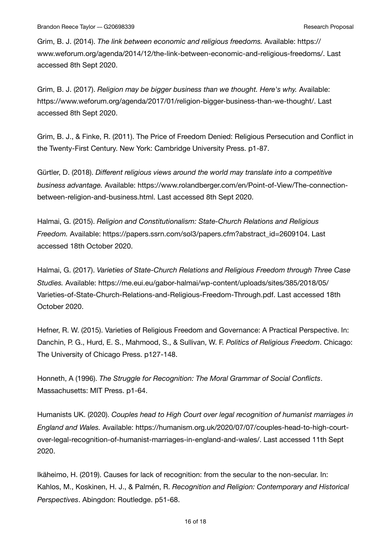Grim, B. J. (2014). *The link between economic and religious freedoms.* Available: https:// www.weforum.org/agenda/2014/12/the-link-between-economic-and-religious-freedoms/. Last accessed 8th Sept 2020.

Grim, B. J. (2017). *Religion may be bigger business than we thought. Here's why.* Available: https://www.weforum.org/agenda/2017/01/religion-bigger-business-than-we-thought/. Last accessed 8th Sept 2020.

Grim, B. J., & Finke, R. (2011). The Price of Freedom Denied: Religious Persecution and Conflict in the Twenty-First Century. New York: Cambridge University Press. p1-87.

Gürtler, D. (2018). *Different religious views around the world may translate into a competitive business advantage.* Available: https://www.rolandberger.com/en/Point-of-View/The-connectionbetween-religion-and-business.html. Last accessed 8th Sept 2020.

Halmai, G. (2015). *Religion and Constitutionalism: State-Church Relations and Religious Freedom.* Available: https://papers.ssrn.com/sol3/papers.cfm?abstract\_id=2609104. Last accessed 18th October 2020.

Halmai, G. (2017). *Varieties of State-Church Relations and Religious Freedom through Three Case Studies.* Available: https://me.eui.eu/gabor-halmai/wp-content/uploads/sites/385/2018/05/ Varieties-of-State-Church-Relations-and-Religious-Freedom-Through.pdf. Last accessed 18th October 2020.

Hefner, R. W. (2015). Varieties of Religious Freedom and Governance: A Practical Perspective. In: Danchin, P. G., Hurd, E. S., Mahmood, S., & Sullivan, W. F. *Politics of Religious Freedom*. Chicago: The University of Chicago Press. p127-148.

Honneth, A (1996). *The Struggle for Recognition: The Moral Grammar of Social Conflicts*. Massachusetts: MIT Press. p1-64.

Humanists UK. (2020). *Couples head to High Court over legal recognition of humanist marriages in England and Wales.* Available: https://humanism.org.uk/2020/07/07/couples-head-to-high-courtover-legal-recognition-of-humanist-marriages-in-england-and-wales/. Last accessed 11th Sept 2020.

Ikäheimo, H. (2019). Causes for lack of recognition: from the secular to the non-secular. In: Kahlos, M., Koskinen, H. J., & Palmén, R. *Recognition and Religion: Contemporary and Historical Perspectives*. Abingdon: Routledge. p51-68.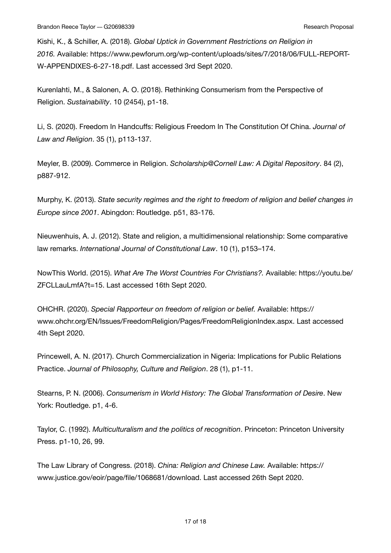Kishi, K., & Schiller, A. (2018). *Global Uptick in Government Restrictions on Religion in 2016.* Available: https://www.pewforum.org/wp-content/uploads/sites/7/2018/06/FULL-REPORT-W-APPENDIXES-6-27-18.pdf. Last accessed 3rd Sept 2020.

Kurenlahti, M., & Salonen, A. O. (2018). Rethinking Consumerism from the Perspective of Religion. *Sustainability*. 10 (2454), p1-18.

Li, S. (2020). Freedom In Handcuffs: Religious Freedom In The Constitution Of China. *Journal of Law and Religion*. 35 (1), p113-137.

Meyler, B. (2009). Commerce in Religion. *Scholarship@Cornell Law: A Digital Repository*. 84 (2), p887-912.

Murphy, K. (2013). *State security regimes and the right to freedom of religion and belief changes in Europe since 2001*. Abingdon: Routledge. p51, 83-176.

Nieuwenhuis, A. J. (2012). State and religion, a multidimensional relationship: Some comparative law remarks. *International Journal of Constitutional Law*. 10 (1), p153–174.

NowThis World. (2015). *What Are The Worst Countries For Christians?.* Available: https://youtu.be/ ZFCLLauLmfA?t=15. Last accessed 16th Sept 2020.

OHCHR. (2020). *Special Rapporteur on freedom of religion or belief.* Available: https:// www.ohchr.org/EN/Issues/FreedomReligion/Pages/FreedomReligionIndex.aspx. Last accessed 4th Sept 2020.

Princewell, A. N. (2017). Church Commercialization in Nigeria: Implications for Public Relations Practice. *Journal of Philosophy, Culture and Religion*. 28 (1), p1-11.

Stearns, P. N. (2006). *Consumerism in World History: The Global Transformation of Desire*. New York: Routledge. p1, 4-6.

Taylor, C. (1992). *Multiculturalism and the politics of recognition*. Princeton: Princeton University Press. p1-10, 26, 99.

The Law Library of Congress. (2018). *China: Religion and Chinese Law.* Available: https:// www.justice.gov/eoir/page/file/1068681/download. Last accessed 26th Sept 2020.